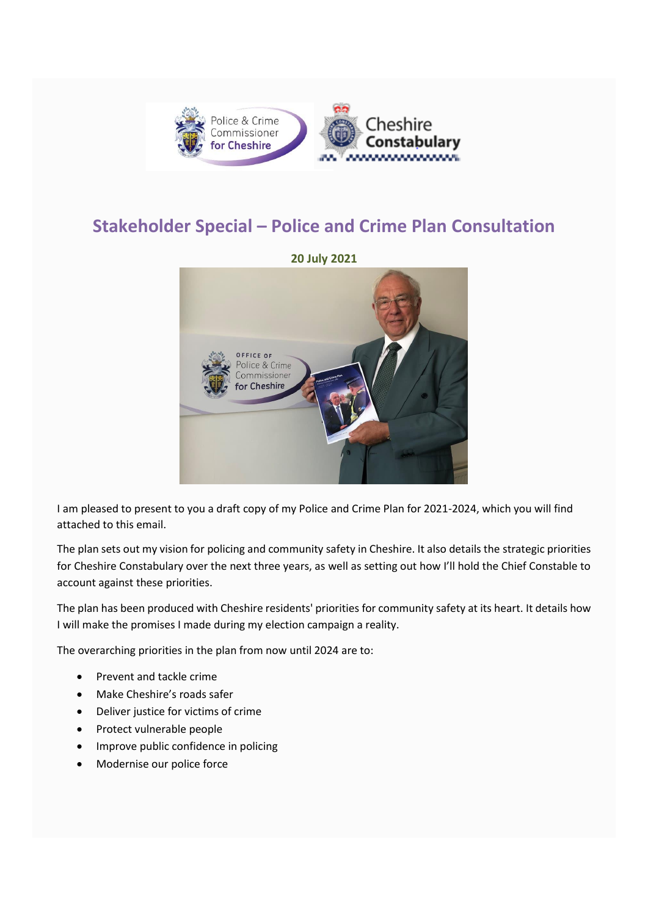

## **Stakeholder Special – Police and Crime Plan Consultation**



I am pleased to present to you a draft copy of my Police and Crime Plan for 2021-2024, which you will find attached to this email.

The plan sets out my vision for policing and community safety in Cheshire. It also details the strategic priorities for Cheshire Constabulary over the next three years, as well as setting out how I'll hold the Chief Constable to account against these priorities.

The plan has been produced with Cheshire residents' priorities for community safety at its heart. It details how I will make the promises I made during my election campaign a reality.

The overarching priorities in the plan from now until 2024 are to:

- Prevent and tackle crime
- Make Cheshire's roads safer
- Deliver justice for victims of crime
- Protect vulnerable people
- Improve public confidence in policing
- Modernise our police force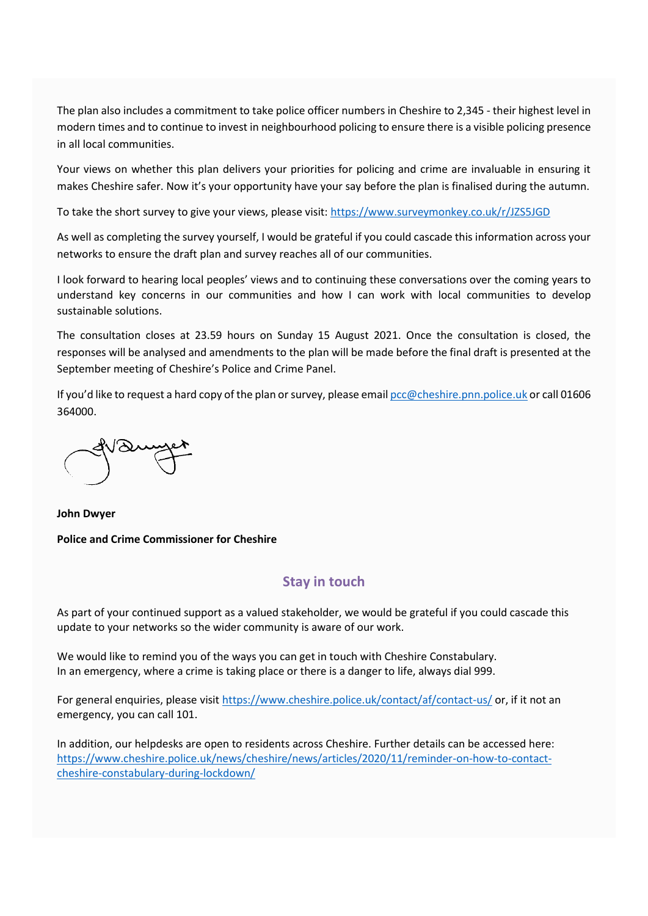The plan also includes a commitment to take police officer numbers in Cheshire to 2,345 - their highest level in modern times and to continue to invest in neighbourhood policing to ensure there is a visible policing presence in all local communities.

Your views on whether this plan delivers your priorities for policing and crime are invaluable in ensuring it makes Cheshire safer. Now it's your opportunity have your say before the plan is finalised during the autumn.

To take the short survey to give your views, please visit[: https://www.surveymonkey.co.uk/r/JZS5JGD](https://www.surveymonkey.co.uk/r/JZS5JGD)

As well as completing the survey yourself, I would be grateful if you could cascade this information across your networks to ensure the draft plan and survey reaches all of our communities.

I look forward to hearing local peoples' views and to continuing these conversations over the coming years to understand key concerns in our communities and how I can work with local communities to develop sustainable solutions.

The consultation closes at 23.59 hours on Sunday 15 August 2021. Once the consultation is closed, the responses will be analysed and amendments to the plan will be made before the final draft is presented at the September meeting of Cheshire's Police and Crime Panel.

If you'd like to request a hard copy of the plan or survey, please emai[l pcc@cheshire.pnn.police.uk](mailto:pcc@cheshire.pnn.police.uk) or call 01606 364000.

**John Dwyer Police and Crime Commissioner for Cheshire**

## **Stay in touch**

As part of your continued support as a valued stakeholder, we would be grateful if you could cascade this update to your networks so the wider community is aware of our work.

We would like to remind you of the ways you can get in touch with Cheshire Constabulary. In an emergency, where a crime is taking place or there is a danger to life, always dial 999.

For general enquiries, please visit<https://www.cheshire.police.uk/contact/af/contact-us/> or, if it not an emergency, you can call 101.

In addition, our helpdesks are open to residents across Cheshire. Further details can be accessed here: [https://www.cheshire.police.uk/news/cheshire/news/articles/2020/11/reminder-on-how-to-contact](https://www.cheshire.police.uk/news/cheshire/news/articles/2020/11/reminder-on-how-to-contact-cheshire-constabulary-during-lockdown/)[cheshire-constabulary-during-lockdown/](https://www.cheshire.police.uk/news/cheshire/news/articles/2020/11/reminder-on-how-to-contact-cheshire-constabulary-during-lockdown/)